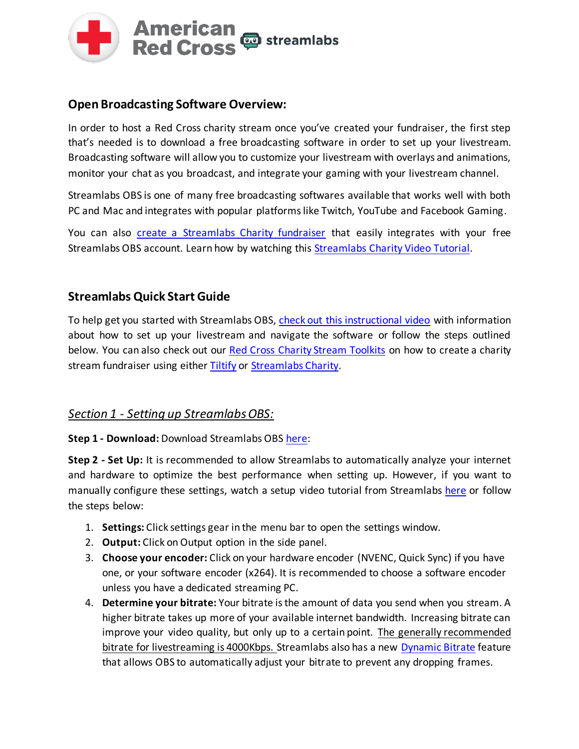

## **Open Broadcasting Software Overview:**

In order to host a Red Cross charity stream once you've created your fundraiser, the first step that's needed is to download a free broadcasting software in order to set up your livestream. Broadcasting software will allow you to customize your livestream with overlays and animations, monitor your chat as you broadcast, and integrate your gaming with your livestream channel.

Streamlabs OBS is one of many free broadcasting softwares available that works well with both PC and Mac and integrates with popular platforms like Twitch, YouTube and Facebook Gaming.

You can also [create a Streamlabs Charity fundraiser](https://streamlabs.com/content-hub/post/how-to-start-a-live-stream-for-charity) that easily integrates with your free Streamlabs OBS account. Learn how by watching this Streamlabs Charity [Video Tutorial.](https://www.youtube.com/watch?v=Hh4T4RuK1H8)

## **Streamlabs Quick Start Guide**

To help get you started with Streamlabs OBS[, check out this instructional video](https://www.youtube.com/watch?v=pY6nhTzc85s) with information about how to set up your livestream and navigate the software or follow the steps outlined below. You can also check out our [Red Cross Charity Stream Toolkits](https://www.redcross.org/donations/ways-to-donate/play-games-and-fundraise.html) on how to create a charity stream fundraiser using either [Tiltify](https://tiltify.com/redcross) or [Streamlabs Charity.](https://streamlabscharity.com/american-red-cross)

### *Section 1 - Setting up Streamlabs OBS:*

**Step 1 - Download:** Download Streamlabs OBS [here:](https://streamlabs.com/streamlabs-obs)

**Step 2 - Set Up:** It is recommended to allow Streamlabs to automatically analyze your internet and hardware to optimize the best performance when setting up. However, if you want to manually configure these settings, watch a setup video tutorial from Streamlabs [here](https://www.youtube.com/watch?v=eVaYK62Jdaw) or follow the steps below:

- 1. **Settings:** Click settings gear in the menu bar to open the settings window.
- 2. **Output:** Click on Output option in the side panel.
- 3. **Choose your encoder:** Click on your hardware encoder (NVENC, Quick Sync) if you have one, or your software encoder (x264). It is recommended to choose a software encoder unless you have a dedicated streaming PC.
- 4. **Determine your bitrate:** Your bitrate is the amount of data you send when you stream. A higher bitrate takes up more of your available internet bandwidth. Increasing bitrate can improve your video quality, but only up to a certain point. The generally recommended bitrate for livestreaming is 4000Kbps. Streamlabs also has a new [Dynamic Bitrate](https://www.youtube.com/watch?v=AQiMqO-aSoI) feature that allows OBS to automatically adjust your bitrate to prevent any dropping frames.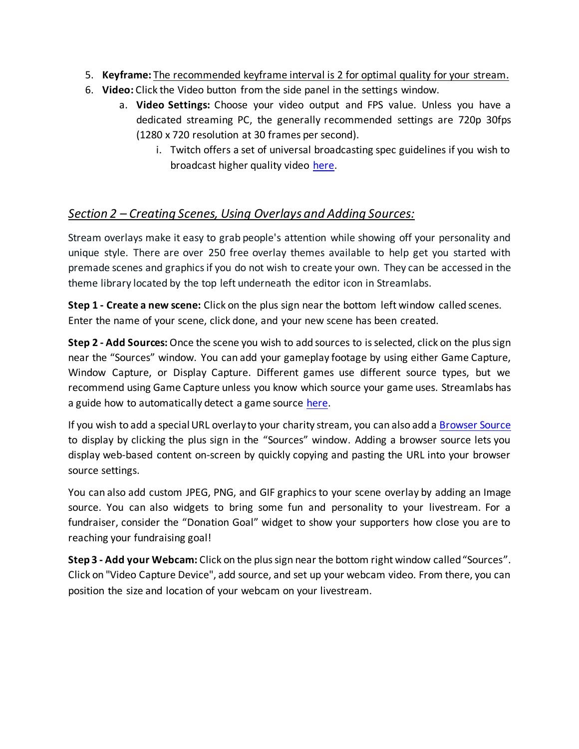- 5. **Keyframe:** The recommended keyframe interval is 2 for optimal quality for your stream.
- 6. **Video:** Click the Video button from the side panel in the settings window.
	- a. **Video Settings:** Choose your video output and FPS value. Unless you have a dedicated streaming PC, the generally recommended settings are 720p 30fps (1280 x 720 resolution at 30 frames per second).
		- i. Twitch offers a set of universal broadcasting spec guidelines if you wish to broadcast higher quality video [here.](https://stream.twitch.tv/encoding/)

# *Section 2 – Creating Scenes, Using Overlays and Adding Sources:*

Stream overlays make it easy to grab people's attention while showing off your personality and unique style. There are over 250 free overlay themes available to help get you started with premade scenes and graphics if you do not wish to create your own. They can be accessed in the theme library located by the top left underneath the editor icon in Streamlabs.

**Step 1 - Create a new scene:** Click on the plus sign near the bottom left window called scenes. Enter the name of your scene, click done, and your new scene has been created.

**Step 2 - Add Sources:** Once the scene you wish to add sources to is selected, click on the plus sign near the "Sources" window. You can add your gameplay footage by using either Game Capture, Window Capture, or Display Capture. Different games use different source types, but we recommend using Game Capture unless you know which source your game uses. Streamlabs has a guide how to automatically detect a game source [here.](https://blog.streamlabs.com/how-to-automatically-detect-and-capture-a-game-source-in-streamlabs-obs-7f01452cae64)

If you wish to add a special URL overlay to your charity stream, you can also add [a Browser Source](https://blog.streamlabs.com/introducing-browser-source-interaction-for-streamlabs-obs-d8fc4dcbb1fb) to display by clicking the plus sign in the "Sources" window. Adding a browser source lets you display web-based content on-screen by quickly copying and pasting the URL into your browser source settings.

You can also add custom JPEG, PNG, and GIF graphicsto your scene overlay by adding an Image source. You can also widgets to bring some fun and personality to your livestream. For a fundraiser, consider the "Donation Goal" widget to show your supporters how close you are to reaching your fundraising goal!

**Step 3 - Add your Webcam:** Click on the plus sign near the bottom right window called "Sources". Click on "Video Capture Device", add source, and set up your webcam video. From there, you can position the size and location of your webcam on your livestream.